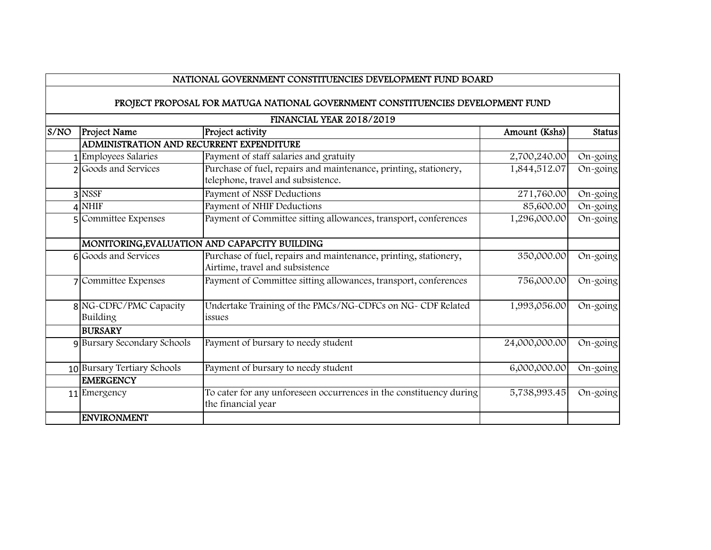## NATIONAL GOVERNMENT CONSTITUENCIES DEVELOPMENT FUND BOARD

## PROJECT PROPOSAL FOR MATUGA NATIONAL GOVERNMENT CONSTITUENCIES DEVELOPMENT FUND

| FINANCIAL YEAR 2018/2019 |                                          |                                                                                                        |               |               |
|--------------------------|------------------------------------------|--------------------------------------------------------------------------------------------------------|---------------|---------------|
| S/NO                     | <b>Project Name</b>                      | Project activity                                                                                       | Amount (Kshs) | <b>Status</b> |
|                          | ADMINISTRATION AND RECURRENT EXPENDITURE |                                                                                                        |               |               |
|                          | 1 Employees Salaries                     | Payment of staff salaries and gratuity                                                                 | 2,700,240.00  | On-going      |
|                          | 2 Goods and Services                     | Purchase of fuel, repairs and maintenance, printing, stationery,<br>telephone, travel and subsistence. | 1,844,512.07  | On-going      |
|                          | 3 NSSF                                   | Payment of NSSF Deductions                                                                             | 271,760.00    | On-going      |
|                          | $4$ NHIF                                 | Payment of NHIF Deductions                                                                             | 85,600.00     | On-going      |
|                          | 5 Committee Expenses                     | Payment of Committee sitting allowances, transport, conferences                                        | 1,296,000.00  | On-going      |
|                          |                                          | MONITORING, EVALUATION AND CAPAPCITY BUILDING                                                          |               |               |
|                          | 6 Goods and Services                     | Purchase of fuel, repairs and maintenance, printing, stationery,<br>Airtime, travel and subsistence    | 350,000.00    | On-going      |
|                          | 7 Committee Expenses                     | Payment of Committee sitting allowances, transport, conferences                                        | 756,000.00    | On-going      |
|                          | 8 NG-CDFC/PMC Capacity<br>Building       | Undertake Training of the PMCs/NG-CDFCs on NG- CDF Related<br>issues                                   | 1,993,056.00  | On-going      |
|                          | <b>BURSARY</b>                           |                                                                                                        |               |               |
|                          | 9 Bursary Secondary Schools              | Payment of bursary to needy student                                                                    | 24,000,000.00 | On-going      |
|                          | 10 Bursary Tertiary Schools              | Payment of bursary to needy student                                                                    | 6,000,000.00  | On-going      |
|                          | <b>EMERGENCY</b>                         |                                                                                                        |               |               |
|                          | 11 Emergency                             | To cater for any unforeseen occurrences in the constituency during<br>the financial year               | 5,738,993.45  | On-going      |
|                          | <b>ENVIRONMENT</b>                       |                                                                                                        |               |               |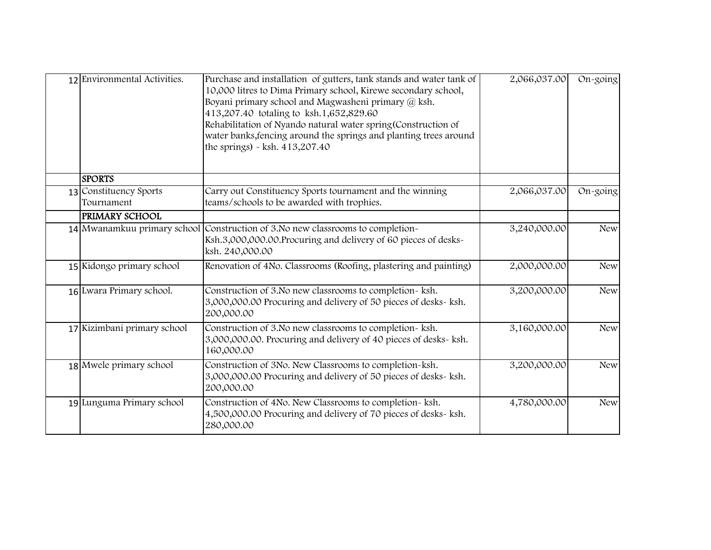| 12 Environmental Activities.         | Purchase and installation of gutters, tank stands and water tank of<br>10,000 litres to Dima Primary school, Kirewe secondary school,<br>Boyani primary school and Magwasheni primary @ ksh.<br>413,207.40 totaling to ksh.1,652,829.60<br>Rehabilitation of Nyando natural water spring (Construction of<br>water banks, fencing around the springs and planting trees around<br>the springs) $\sim$ ksh. 413,207.40 | 2,066,037.00 | On-going   |
|--------------------------------------|-----------------------------------------------------------------------------------------------------------------------------------------------------------------------------------------------------------------------------------------------------------------------------------------------------------------------------------------------------------------------------------------------------------------------|--------------|------------|
| <b>SPORTS</b>                        |                                                                                                                                                                                                                                                                                                                                                                                                                       |              |            |
| 13 Constituency Sports<br>Tournament | Carry out Constituency Sports tournament and the winning<br>teams/schools to be awarded with trophies.                                                                                                                                                                                                                                                                                                                | 2,066,037.00 | On-going   |
| <b>PRIMARY SCHOOL</b>                |                                                                                                                                                                                                                                                                                                                                                                                                                       |              |            |
|                                      | 14 Mwanamkuu primary school Construction of 3.No new classrooms to completion-<br>Ksh.3,000,000.00. Procuring and delivery of 60 pieces of desks-<br>ksh. 240,000.00                                                                                                                                                                                                                                                  | 3,240,000.00 | <b>New</b> |
| 15 Kidongo primary school            | Renovation of 4No. Classrooms (Roofing, plastering and painting)                                                                                                                                                                                                                                                                                                                                                      | 2,000,000.00 | <b>New</b> |
| 16 Lwara Primary school.             | Construction of 3. No new classrooms to completion- ksh.<br>3,000,000.00 Procuring and delivery of 50 pieces of desks- ksh.<br>200,000.00                                                                                                                                                                                                                                                                             | 3,200,000.00 | <b>New</b> |
| 17 Kizimbani primary school          | Construction of 3. No new classrooms to completion- ksh.<br>3,000,000.00. Procuring and delivery of 40 pieces of desks- ksh.<br>160,000.00                                                                                                                                                                                                                                                                            | 3,160,000.00 | <b>New</b> |
| 18 Mwele primary school              | Construction of 3No. New Classrooms to completion-ksh.<br>3,000,000.00 Procuring and delivery of 50 pieces of desks- ksh.<br>200,000.00                                                                                                                                                                                                                                                                               | 3,200,000.00 | <b>New</b> |
| 19 Lunguma Primary school            | Construction of 4No. New Classrooms to completion- ksh.<br>4,500,000.00 Procuring and delivery of 70 pieces of desks-ksh.<br>280,000.00                                                                                                                                                                                                                                                                               | 4,780,000.00 | <b>New</b> |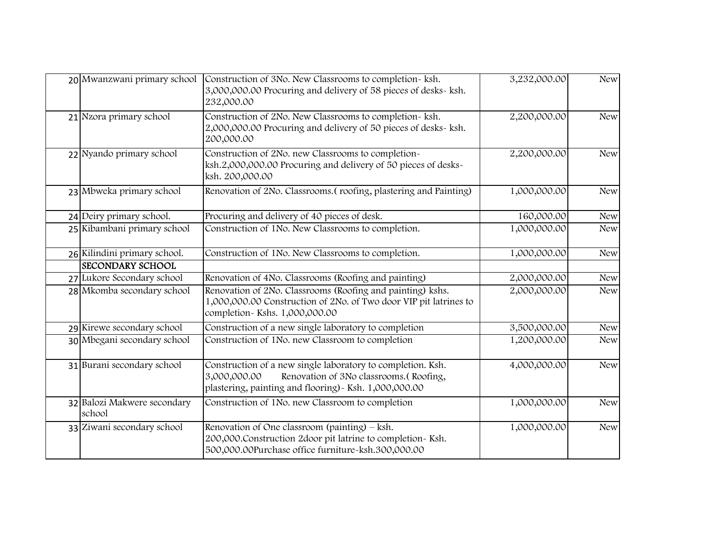| 20 Mwanzwani primary school           | Construction of 3No. New Classrooms to completion- ksh.<br>3,000,000.00 Procuring and delivery of 58 pieces of desks- ksh.<br>232,000.00                                        | 3,232,000.00 | <b>New</b> |
|---------------------------------------|---------------------------------------------------------------------------------------------------------------------------------------------------------------------------------|--------------|------------|
| 21 Nzora primary school               | Construction of 2No. New Classrooms to completion- ksh.<br>2,000,000.00 Procuring and delivery of 50 pieces of desks- ksh.<br>200,000.00                                        | 2,200,000.00 | <b>New</b> |
| 22 Nyando primary school              | Construction of 2No. new Classrooms to completion-<br>ksh.2,000,000.00 Procuring and delivery of 50 pieces of desks-<br>ksh. 200,000.00                                         | 2,200,000.00 | <b>New</b> |
| 23 Mbweka primary school              | Renovation of 2No. Classrooms. (roofing, plastering and Painting)                                                                                                               | 1,000,000.00 | <b>New</b> |
| 24 Deiry primary school.              | Procuring and delivery of 40 pieces of desk.                                                                                                                                    | 160,000.00   | <b>New</b> |
| 25 Kibambani primary school           | Construction of 1No. New Classrooms to completion.                                                                                                                              | 1,000,000.00 | <b>New</b> |
| 26 Kilindini primary school.          | Construction of 1No. New Classrooms to completion.                                                                                                                              | 1,000,000.00 | <b>New</b> |
| <b>SECONDARY SCHOOL</b>               |                                                                                                                                                                                 |              |            |
| 27 Lukore Secondary school            | Renovation of 4No. Classrooms (Roofing and painting)                                                                                                                            | 2,000,000.00 | <b>New</b> |
| 28 Mkomba secondary school            | Renovation of 2No. Classrooms (Roofing and painting) kshs.<br>1,000,000.00 Construction of 2No. of Two door VIP pit latrines to<br>completion-Kshs. 1,000,000.00                | 2,000,000.00 | <b>New</b> |
| 29 Kirewe secondary school            | Construction of a new single laboratory to completion                                                                                                                           | 3,500,000.00 | <b>New</b> |
| 30 Mbegani secondary school           | Construction of 1No. new Classroom to completion                                                                                                                                | 1,200,000.00 | <b>New</b> |
| 31 Burani secondary school            | Construction of a new single laboratory to completion. Ksh.<br>Renovation of 3No classrooms.(Roofing,<br>3,000,000.00<br>plastering, painting and flooring) - Ksh. 1,000,000.00 | 4,000,000.00 | <b>New</b> |
| 32 Balozi Makwere secondary<br>school | Construction of 1No. new Classroom to completion                                                                                                                                | 1,000,000.00 | <b>New</b> |
| 33 Ziwani secondary school            | Renovation of One classroom (painting) – ksh.<br>200,000. Construction 2door pit latrine to completion~ Ksh.<br>500,000.00Purchase office furniture-ksh.300,000.00              | 1,000,000.00 | <b>New</b> |